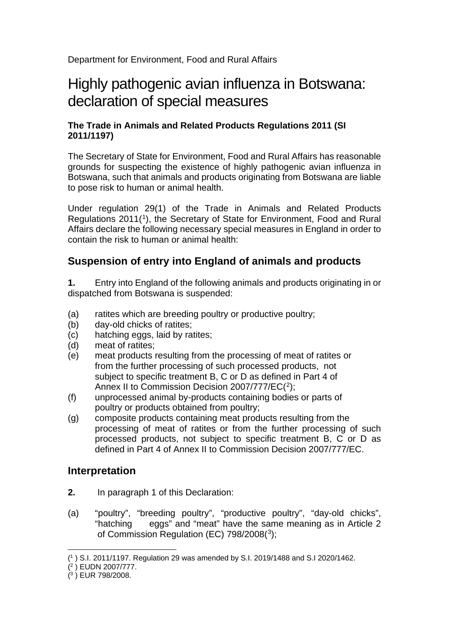# Highly pathogenic avian influenza in Botswana: declaration of special measures

## **The Trade in Animals and Related Products Regulations 2011 (SI 2011/1197)**

The Secretary of State for Environment, Food and Rural Affairs has reasonable grounds for suspecting the existence of highly pathogenic avian influenza in Botswana, such that animals and products originating from Botswana are liable to pose risk to human or animal health.

Under regulation 29(1) of the Trade in Animals and Related Products Regulations 20[1](#page-0-0)1(<sup>1</sup>), the Secretary of State for Environment, Food and Rural Affairs declare the following necessary special measures in England in order to contain the risk to human or animal health:

# **Suspension of entry into England of animals and products**

**1.** Entry into England of the following animals and products originating in or dispatched from Botswana is suspended:

- (a) ratites which are breeding poultry or productive poultry;
- (b) day-old chicks of ratites;
- (c) hatching eggs, laid by ratites;
- (d) meat of ratites;
- (e) meat products resulting from the processing of meat of ratites or from the further processing of such processed products, not subject to specific treatment B, C or D as defined in Part 4 of Annex II to Commission Decision [2](#page-0-1)007/777/EC(2);
- (f) unprocessed animal by-products containing bodies or parts of poultry or products obtained from poultry;
- (g) composite products containing meat products resulting from the processing of meat of ratites or from the further processing of such processed products, not subject to specific treatment B, C or D as defined in Part 4 of Annex II to Commission Decision 2007/777/EC.

## **Interpretation**

- **2.** In paragraph 1 of this Declaration:
- (a) "poultry", "breeding poultry", "productive poultry", "day-old chicks", "hatching eggs" and "meat" have the same meaning as in Article 2 of Commission Regulation (EC) 798/2008([3\)](#page-0-2);

<span id="page-0-1"></span><span id="page-0-0"></span><sup>(</sup> <sup>1</sup> ) S.I. 2011/1197. Regulation 29 was amended by S.I. 2019/1488 and S.I 2020/1462.

<sup>(</sup> <sup>2</sup> ) EUDN 2007/777.

<span id="page-0-2"></span><sup>(</sup> <sup>3</sup> ) EUR 798/2008.